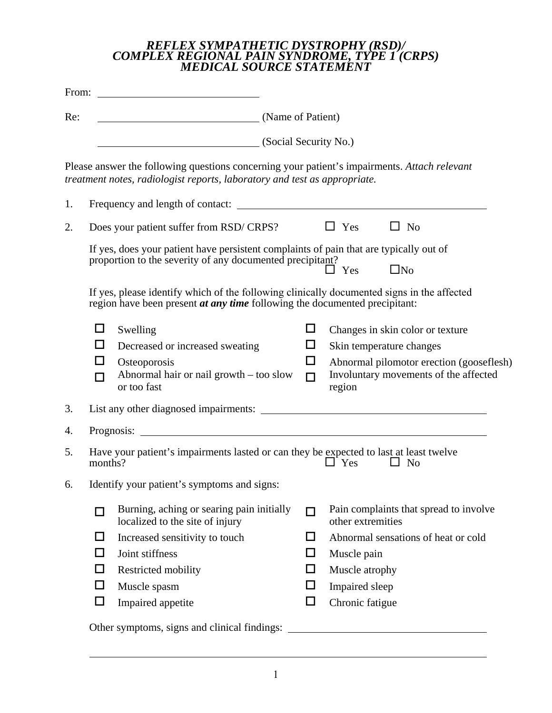## *REFLEX SYMPATHETIC DYSTROPHY (RSD)/ COMPLEX REGIONAL PAIN SYNDROME, TYPE 1 (CRPS) MEDICAL SOURCE STATEMENT*

|     |                                                                    | From: $\qquad \qquad$                                                                                                                                                                                                                                                                                                                  |                                 |                                                                                                                                                                          |  |  |  |  |  |  |  |  |
|-----|--------------------------------------------------------------------|----------------------------------------------------------------------------------------------------------------------------------------------------------------------------------------------------------------------------------------------------------------------------------------------------------------------------------------|---------------------------------|--------------------------------------------------------------------------------------------------------------------------------------------------------------------------|--|--|--|--|--|--|--|--|
| Re: |                                                                    | (Name of Patient)                                                                                                                                                                                                                                                                                                                      |                                 |                                                                                                                                                                          |  |  |  |  |  |  |  |  |
|     | (Social Security No.)                                              |                                                                                                                                                                                                                                                                                                                                        |                                 |                                                                                                                                                                          |  |  |  |  |  |  |  |  |
|     |                                                                    | Please answer the following questions concerning your patient's impairments. Attach relevant<br>treatment notes, radiologist reports, laboratory and test as appropriate.                                                                                                                                                              |                                 |                                                                                                                                                                          |  |  |  |  |  |  |  |  |
| 1.  |                                                                    | Frequency and length of contact:                                                                                                                                                                                                                                                                                                       |                                 |                                                                                                                                                                          |  |  |  |  |  |  |  |  |
| 2.  | $\Box$ Yes<br>$\Box$ No<br>Does your patient suffer from RSD/CRPS? |                                                                                                                                                                                                                                                                                                                                        |                                 |                                                                                                                                                                          |  |  |  |  |  |  |  |  |
|     |                                                                    | If yes, does your patient have persistent complaints of pain that are typically out of<br>proportion to the severity of any documented precipitant?<br>If yes, please identify which of the following clinically documented signs in the affected<br>region have been present <i>at any time</i> following the documented precipitant: |                                 | $\Box$ No<br>$\Box$ Yes                                                                                                                                                  |  |  |  |  |  |  |  |  |
|     | ப<br>ΙI<br>ΙI                                                      | Swelling<br>ப<br>Decreased or increased sweating<br>$\Box$<br>□<br>Osteoporosis<br>Abnormal hair or nail growth - too slow<br>$\Box$<br>or too fast                                                                                                                                                                                    |                                 | Changes in skin color or texture<br>Skin temperature changes<br>Abnormal pilomotor erection (gooseflesh)<br>Involuntary movements of the affected<br>region              |  |  |  |  |  |  |  |  |
| 3.  |                                                                    |                                                                                                                                                                                                                                                                                                                                        |                                 |                                                                                                                                                                          |  |  |  |  |  |  |  |  |
| 4.  |                                                                    |                                                                                                                                                                                                                                                                                                                                        |                                 |                                                                                                                                                                          |  |  |  |  |  |  |  |  |
| 5.  | months?                                                            | Have your patient's impairments lasted or can they be expected to last at least twelve                                                                                                                                                                                                                                                 |                                 | $\Box$ Yes<br>$\Box$ No                                                                                                                                                  |  |  |  |  |  |  |  |  |
| 6.  |                                                                    | Identify your patient's symptoms and signs:                                                                                                                                                                                                                                                                                            |                                 |                                                                                                                                                                          |  |  |  |  |  |  |  |  |
|     | П<br>□<br>□<br>□<br>□<br>□                                         | Burning, aching or searing pain initially<br>localized to the site of injury<br>Increased sensitivity to touch<br>Joint stiffness<br>Restricted mobility<br>Muscle spasm<br>Impaired appetite<br>Other symptoms, signs and clinical findings:                                                                                          | п<br>□<br>$\Box$<br>□<br>□<br>□ | Pain complaints that spread to involve<br>other extremities<br>Abnormal sensations of heat or cold<br>Muscle pain<br>Muscle atrophy<br>Impaired sleep<br>Chronic fatigue |  |  |  |  |  |  |  |  |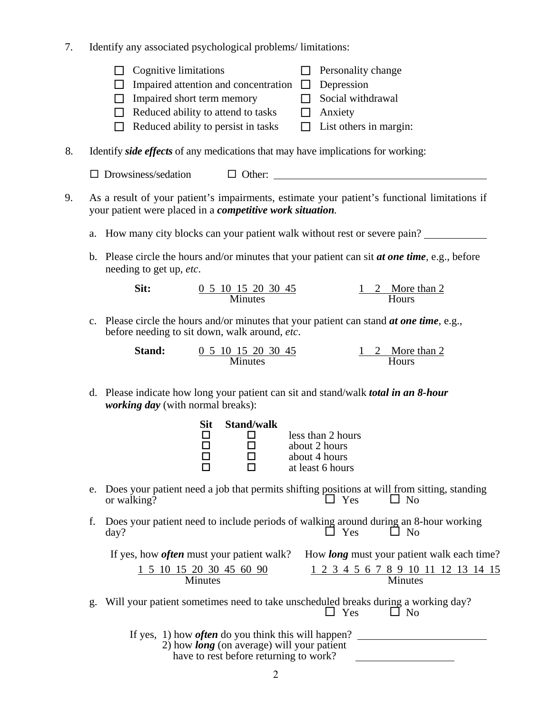- 7. Identify any associated psychological problems/ limitations:
	- $\Box$  Cognitive limitations  $\Box$  Personality change
	- $\Box$  Impaired attention and concentration  $\Box$  Depression
	- $\Box$  Impaired short term memory  $\Box$  Social withdrawal
	- $\Box$  Reduced ability to attend to tasks  $\Box$  Anxiety
	- $\Box$  Reduced ability to persist in tasks  $\Box$  List others in margin:
- 
- 8. Identify *side effects* of any medications that may have implications for working:

 $\Box$  Drowsiness/sedation  $\Box$  Other:

- 9. As a result of your patient's impairments, estimate your patient's functional limitations if your patient were placed in a *competitive work situation.* 
	- a. How many city blocks can your patient walk without rest or severe pain?
	- b. Please circle the hours and/or minutes that your patient can sit *at one time,* e.g., before needing to get up, *etc*.

| Sit: | 0 5 10 15 20 30 45 | 1 2 More than 2 |  |
|------|--------------------|-----------------|--|
|      | <b>Minutes</b>     | <b>Hours</b>    |  |

c. Please circle the hours and/or minutes that your patient can stand *at one time*, e.g., before needing to sit down, walk around, *etc*.

| <b>Stand:</b> | 0 5 10 15 20 30 45 | 1 2 More than 2 |
|---------------|--------------------|-----------------|
|               | <b>Minutes</b>     | <b>Hours</b>    |

d. Please indicate how long your patient can sit and stand/walk *total in an 8-hour working day* (with normal breaks):

| Sit. | <b>Stand/walk</b> |                   |
|------|-------------------|-------------------|
| П    | П                 | less than 2 hours |
| П    | П                 | about 2 hours     |
| П    | П                 | about 4 hours     |
| П    | П                 | at least 6 hours  |

- e. Does your patient need a job that permits shifting positions at will from sitting, standing or walking?  $\Box$  Yes  $\Box$  No or walking?
- f. Does your patient need to include periods of walking around during an 8-hour working<br> $\Box$  Yes  $\Box$  No day?  $\Box$  Yes  $\Box$  No

|                          | If yes, how <i>often</i> must your patient walk? How <i>long</i> must your patient walk each time? |  |  |  |  |  |  |  |
|--------------------------|----------------------------------------------------------------------------------------------------|--|--|--|--|--|--|--|
| 1 5 10 15 20 30 45 60 90 | 1 2 3 4 5 6 7 8 9 10 11 12 13 14 15                                                                |  |  |  |  |  |  |  |
| <b>Minutes</b>           | <b>Minutes</b>                                                                                     |  |  |  |  |  |  |  |

- g. Will your patient sometimes need to take unscheduled breaks during a working day?  $\Box$  Yes  $\Box$  No
	- If yes, 1) how *often* do you think this will happen?
		- 2) how *long* (on average) will your patient
			- have to rest before returning to work?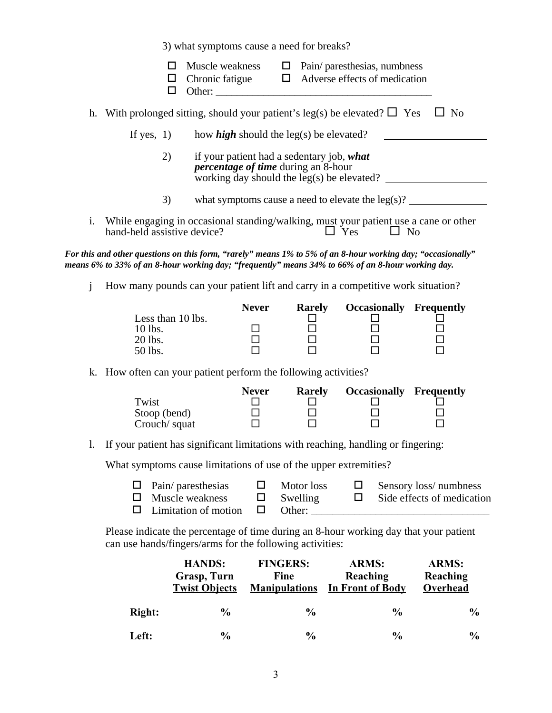3) what symptoms cause a need for breaks?

| Muscle weakness<br>$\Box$ Pain/ paresthesias, numbress<br>□<br>Adverse effects of medication<br>Chronic fatigue<br>□<br>$\Box$<br>Other:<br>◻<br>With prolonged sitting, should your patient's leg(s) be elevated? $\Box$ Yes<br>$\Box$ No<br>h.<br>If yes, $1)$<br>how <i>high</i> should the leg(s) be elevated?<br>if your patient had a sedentary job, what<br>2)<br><i>percentage of time during an 8-hour</i><br>working day should the $leg(s)$ be elevated?<br>3)<br>what symptoms cause a need to elevate the $leg(s)$ ?<br>i.<br>While engaging in occasional standing/walking, must your patient use a cane or other<br>hand-held assistive device?<br>$\Box$ Yes<br>$\Box$ No<br>For this and other questions on this form, "rarely" means 1% to 5% of an 8-hour working day; "occasionally"<br>means 6% to 33% of an 8-hour working day; "frequently" means 34% to 66% of an 8-hour working day.<br>j<br>How many pounds can your patient lift and carry in a competitive work situation?<br><b>Never</b><br><b>Occasionally Frequently</b><br><b>Rarely</b><br>Less than 10 lbs.<br>10 lbs.<br>$\Box$<br>20 lbs.<br>50 lbs.<br>k. How often can your patient perform the following activities?<br><b>Never</b><br><b>Occasionally Frequently</b><br><b>Rarely</b><br>Twist<br>88<br>80<br>0<br>0<br>0<br>$\Box$<br>Stoop (bend)<br>Crouch/ squat<br>If your patient has significant limitations with reaching, handling or fingering:<br>1.<br>What symptoms cause limitations of use of the upper extremities?<br>Motor loss<br>Pain/ paresthesias<br>$\Box$<br>Sensory loss/numbness<br>Ц<br>ப<br>Muscle weakness<br>Side effects of medication<br>Swelling<br>$\Box$<br>$\Box$<br>ப<br>Limitation of motion<br>□<br>□<br>can use hands/fingers/arms for the following activities:<br><b>HANDS:</b><br><b>FINGERS:</b><br><b>ARMS:</b><br><b>ARMS:</b> |                                                                                       |             |  |  |  |  |          |  |  |  |
|------------------------------------------------------------------------------------------------------------------------------------------------------------------------------------------------------------------------------------------------------------------------------------------------------------------------------------------------------------------------------------------------------------------------------------------------------------------------------------------------------------------------------------------------------------------------------------------------------------------------------------------------------------------------------------------------------------------------------------------------------------------------------------------------------------------------------------------------------------------------------------------------------------------------------------------------------------------------------------------------------------------------------------------------------------------------------------------------------------------------------------------------------------------------------------------------------------------------------------------------------------------------------------------------------------------------------------------------------------------------------------------------------------------------------------------------------------------------------------------------------------------------------------------------------------------------------------------------------------------------------------------------------------------------------------------------------------------------------------------------------------------------------------------------------------------------------------------------------------------------|---------------------------------------------------------------------------------------|-------------|--|--|--|--|----------|--|--|--|
|                                                                                                                                                                                                                                                                                                                                                                                                                                                                                                                                                                                                                                                                                                                                                                                                                                                                                                                                                                                                                                                                                                                                                                                                                                                                                                                                                                                                                                                                                                                                                                                                                                                                                                                                                                                                                                                                        |                                                                                       |             |  |  |  |  |          |  |  |  |
|                                                                                                                                                                                                                                                                                                                                                                                                                                                                                                                                                                                                                                                                                                                                                                                                                                                                                                                                                                                                                                                                                                                                                                                                                                                                                                                                                                                                                                                                                                                                                                                                                                                                                                                                                                                                                                                                        |                                                                                       |             |  |  |  |  |          |  |  |  |
|                                                                                                                                                                                                                                                                                                                                                                                                                                                                                                                                                                                                                                                                                                                                                                                                                                                                                                                                                                                                                                                                                                                                                                                                                                                                                                                                                                                                                                                                                                                                                                                                                                                                                                                                                                                                                                                                        |                                                                                       |             |  |  |  |  |          |  |  |  |
|                                                                                                                                                                                                                                                                                                                                                                                                                                                                                                                                                                                                                                                                                                                                                                                                                                                                                                                                                                                                                                                                                                                                                                                                                                                                                                                                                                                                                                                                                                                                                                                                                                                                                                                                                                                                                                                                        |                                                                                       |             |  |  |  |  |          |  |  |  |
|                                                                                                                                                                                                                                                                                                                                                                                                                                                                                                                                                                                                                                                                                                                                                                                                                                                                                                                                                                                                                                                                                                                                                                                                                                                                                                                                                                                                                                                                                                                                                                                                                                                                                                                                                                                                                                                                        |                                                                                       |             |  |  |  |  |          |  |  |  |
|                                                                                                                                                                                                                                                                                                                                                                                                                                                                                                                                                                                                                                                                                                                                                                                                                                                                                                                                                                                                                                                                                                                                                                                                                                                                                                                                                                                                                                                                                                                                                                                                                                                                                                                                                                                                                                                                        |                                                                                       |             |  |  |  |  |          |  |  |  |
|                                                                                                                                                                                                                                                                                                                                                                                                                                                                                                                                                                                                                                                                                                                                                                                                                                                                                                                                                                                                                                                                                                                                                                                                                                                                                                                                                                                                                                                                                                                                                                                                                                                                                                                                                                                                                                                                        |                                                                                       |             |  |  |  |  |          |  |  |  |
|                                                                                                                                                                                                                                                                                                                                                                                                                                                                                                                                                                                                                                                                                                                                                                                                                                                                                                                                                                                                                                                                                                                                                                                                                                                                                                                                                                                                                                                                                                                                                                                                                                                                                                                                                                                                                                                                        |                                                                                       |             |  |  |  |  |          |  |  |  |
|                                                                                                                                                                                                                                                                                                                                                                                                                                                                                                                                                                                                                                                                                                                                                                                                                                                                                                                                                                                                                                                                                                                                                                                                                                                                                                                                                                                                                                                                                                                                                                                                                                                                                                                                                                                                                                                                        |                                                                                       |             |  |  |  |  |          |  |  |  |
|                                                                                                                                                                                                                                                                                                                                                                                                                                                                                                                                                                                                                                                                                                                                                                                                                                                                                                                                                                                                                                                                                                                                                                                                                                                                                                                                                                                                                                                                                                                                                                                                                                                                                                                                                                                                                                                                        |                                                                                       |             |  |  |  |  |          |  |  |  |
|                                                                                                                                                                                                                                                                                                                                                                                                                                                                                                                                                                                                                                                                                                                                                                                                                                                                                                                                                                                                                                                                                                                                                                                                                                                                                                                                                                                                                                                                                                                                                                                                                                                                                                                                                                                                                                                                        |                                                                                       |             |  |  |  |  |          |  |  |  |
|                                                                                                                                                                                                                                                                                                                                                                                                                                                                                                                                                                                                                                                                                                                                                                                                                                                                                                                                                                                                                                                                                                                                                                                                                                                                                                                                                                                                                                                                                                                                                                                                                                                                                                                                                                                                                                                                        |                                                                                       |             |  |  |  |  |          |  |  |  |
|                                                                                                                                                                                                                                                                                                                                                                                                                                                                                                                                                                                                                                                                                                                                                                                                                                                                                                                                                                                                                                                                                                                                                                                                                                                                                                                                                                                                                                                                                                                                                                                                                                                                                                                                                                                                                                                                        |                                                                                       |             |  |  |  |  |          |  |  |  |
|                                                                                                                                                                                                                                                                                                                                                                                                                                                                                                                                                                                                                                                                                                                                                                                                                                                                                                                                                                                                                                                                                                                                                                                                                                                                                                                                                                                                                                                                                                                                                                                                                                                                                                                                                                                                                                                                        |                                                                                       |             |  |  |  |  |          |  |  |  |
|                                                                                                                                                                                                                                                                                                                                                                                                                                                                                                                                                                                                                                                                                                                                                                                                                                                                                                                                                                                                                                                                                                                                                                                                                                                                                                                                                                                                                                                                                                                                                                                                                                                                                                                                                                                                                                                                        | Please indicate the percentage of time during an 8-hour working day that your patient |             |  |  |  |  |          |  |  |  |
| Fine<br>Reaching<br><b>Twist Objects</b><br><b>Manipulations</b><br><b>In Front of Body</b><br><b>Overhead</b>                                                                                                                                                                                                                                                                                                                                                                                                                                                                                                                                                                                                                                                                                                                                                                                                                                                                                                                                                                                                                                                                                                                                                                                                                                                                                                                                                                                                                                                                                                                                                                                                                                                                                                                                                         |                                                                                       | Grasp, Turn |  |  |  |  | Reaching |  |  |  |

Left:

**Right:**  $\frac{6}{9}$  %  $\frac{6}{9}$  % % %

Left:  $\frac{9}{6}$  %  $\frac{9}{6}$  %  $\frac{9}{6}$  %